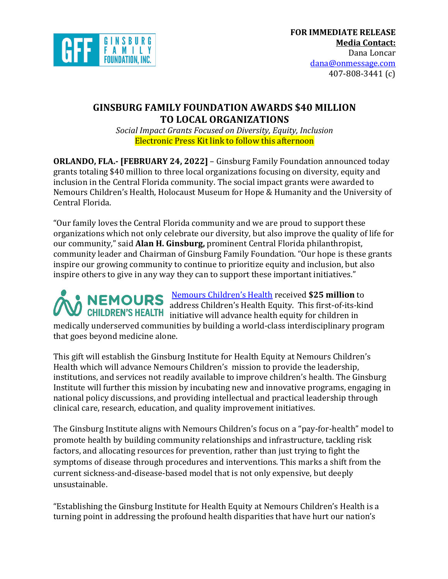

# **GINSBURG FAMILY FOUNDATION AWARDS \$40 MILLION TO LOCAL ORGANIZATIONS**

*Social Impact Grants Focused on Diversity, Equity, Inclusion* Electronic Press Kit link to follow this afternoon

**ORLANDO, FLA.- <b>[FEBRUARY 24, 2022]** – Ginsburg Family Foundation announced today grants totaling \$40 million to three local organizations focusing on diversity, equity and inclusion in the Central Florida community. The social impact grants were awarded to Nemours Children's Health, Holocaust Museum for Hope & Humanity and the University of Central Florida.

"Our family loves the Central Florida community and we are proud to support these organizations which not only celebrate our diversity, but also improve the quality of life for our community," said **Alan H. Ginsburg**, prominent Central Florida philanthropist, community leader and Chairman of Ginsburg Family Foundation. "Our hope is these grants inspire our growing community to continue to prioritize equity and inclusion, but also inspire others to give in any way they can to support these important initiatives."

Nemours Children's Health received **\$25 million** to address Children's Health Equity. This first-of-its-kind CHILDREN'S HEALTH initiative will advance health equity for children in medically underserved communities by building a world-class interdisciplinary program that goes beyond medicine alone.

This gift will establish the Ginsburg Institute for Health Equity at Nemours Children's Health which will advance Nemours Children's mission to provide the leadership, institutions, and services not readily available to improve children's health. The Ginsburg Institute will further this mission by incubating new and innovative programs, engaging in national policy discussions, and providing intellectual and practical leadership through clinical care, research, education, and quality improvement initiatives.

The Ginsburg Institute aligns with Nemours Children's focus on a "pay-for-health" model to promote health by building community relationships and infrastructure, tackling risk factors, and allocating resources for prevention, rather than just trying to fight the symptoms of disease through procedures and interventions. This marks a shift from the current sickness-and-disease-based model that is not only expensive, but deeply unsustainable. 

"Establishing the Ginsburg Institute for Health Equity at Nemours Children's Health is a turning point in addressing the profound health disparities that have hurt our nation's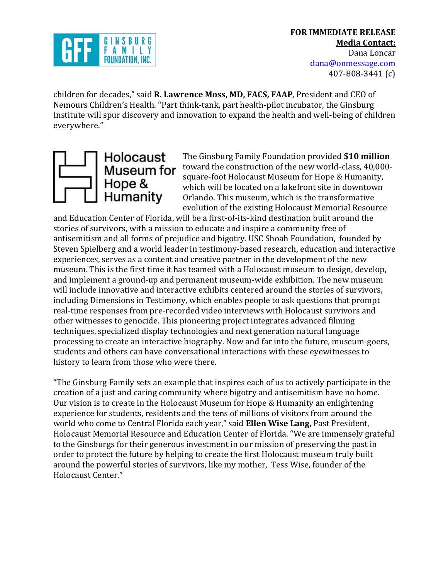

children for decades," said **R. Lawrence Moss, MD, FACS, FAAP**, President and CEO of Nemours Children's Health. "Part think-tank, part health-pilot incubator, the Ginsburg Institute will spur discovery and innovation to expand the health and well-being of children everywhere."



The Ginsburg Family Foundation provided \$10 million toward the construction of the new world-class, 40,000square-foot Holocaust Museum for Hope & Humanity, which will be located on a lakefront site in downtown Orlando. This museum, which is the transformative evolution of the existing Holocaust Memorial Resource

and Education Center of Florida, will be a first-of-its-kind destination built around the stories of survivors, with a mission to educate and inspire a community free of antisemitism and all forms of prejudice and bigotry. USC Shoah Foundation, founded by Steven Spielberg and a world leader in testimony-based research, education and interactive experiences, serves as a content and creative partner in the development of the new museum. This is the first time it has teamed with a Holocaust museum to design, develop, and implement a ground-up and permanent museum-wide exhibition. The new museum will include innovative and interactive exhibits centered around the stories of survivors, including Dimensions in Testimony, which enables people to ask questions that prompt real-time responses from pre-recorded video interviews with Holocaust survivors and other witnesses to genocide. This pioneering project integrates advanced filming techniques, specialized display technologies and next generation natural language processing to create an interactive biography. Now and far into the future, museum-goers, students and others can have conversational interactions with these eyewitnesses to history to learn from those who were there.

"The Ginsburg Family sets an example that inspires each of us to actively participate in the creation of a just and caring community where bigotry and antisemitism have no home. Our vision is to create in the Holocaust Museum for Hope & Humanity an enlightening experience for students, residents and the tens of millions of visitors from around the world who come to Central Florida each year," said **Ellen Wise Lang,** Past President, Holocaust Memorial Resource and Education Center of Florida. "We are immensely grateful to the Ginsburgs for their generous investment in our mission of preserving the past in order to protect the future by helping to create the first Holocaust museum truly built around the powerful stories of survivors, like my mother, Tess Wise, founder of the Holocaust Center."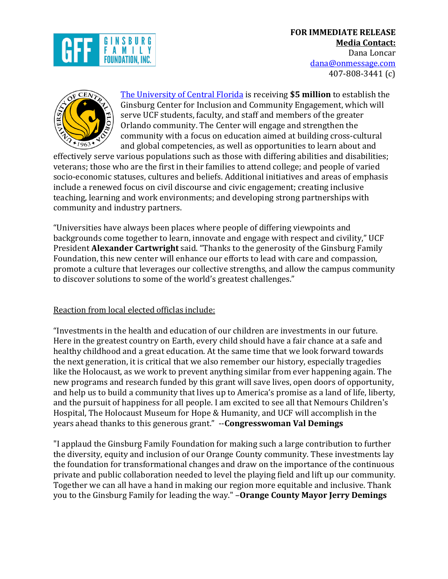# **FOR IMMEDIATE RELEASE Media Contact:** Dana Loncar







The University of Central Florida is receiving **\$5 million** to establish the Ginsburg Center for Inclusion and Community Engagement, which will serve UCF students, faculty, and staff and members of the greater Orlando community. The Center will engage and strengthen the community with a focus on education aimed at building cross-cultural and global competencies, as well as opportunities to learn about and

effectively serve various populations such as those with differing abilities and disabilities; veterans; those who are the first in their families to attend college; and people of varied socio-economic statuses, cultures and beliefs. Additional initiatives and areas of emphasis include a renewed focus on civil discourse and civic engagement; creating inclusive teaching, learning and work environments; and developing strong partnerships with community and industry partners.

"Universities have always been places where people of differing viewpoints and backgrounds come together to learn, innovate and engage with respect and civility," UCF President **Alexander Cartwright** said. "Thanks to the generosity of the Ginsburg Family Foundation, this new center will enhance our efforts to lead with care and compassion, promote a culture that leverages our collective strengths, and allow the campus community to discover solutions to some of the world's greatest challenges."

#### Reaction from local elected officlas include:

"Investments in the health and education of our children are investments in our future. Here in the greatest country on Earth, every child should have a fair chance at a safe and healthy childhood and a great education. At the same time that we look forward towards the next generation, it is critical that we also remember our history, especially tragedies like the Holocaust, as we work to prevent anything similar from ever happening again. The new programs and research funded by this grant will save lives, open doors of opportunity, and help us to build a community that lives up to America's promise as a land of life, liberty, and the pursuit of happiness for all people. I am excited to see all that Nemours Children's Hospital, The Holocaust Museum for Hope & Humanity, and UCF will accomplish in the vears ahead thanks to this generous grant." --**Congresswoman Val Demings** 

"I applaud the Ginsburg Family Foundation for making such a large contribution to further the diversity, equity and inclusion of our Orange County community. These investments lay the foundation for transformational changes and draw on the importance of the continuous private and public collaboration needed to level the playing field and lift up our community. Together we can all have a hand in making our region more equitable and inclusive. Thank you to the Ginsburg Family for leading the way." **-Orange County Mayor Jerry Demings**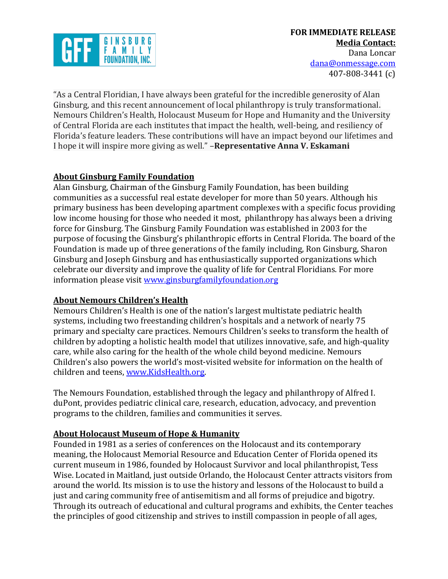

"As a Central Floridian, I have always been grateful for the incredible generosity of Alan Ginsburg, and this recent announcement of local philanthropy is truly transformational. Nemours Children's Health, Holocaust Museum for Hope and Humanity and the University of Central Florida are each institutes that impact the health, well-being, and resiliency of Florida's feature leaders. These contributions will have an impact beyond our lifetimes and I hope it will inspire more giving as well." **-Representative Anna V. Eskamani** 

# **About Ginsburg Family Foundation**

Alan Ginsburg, Chairman of the Ginsburg Family Foundation, has been building communities as a successful real estate developer for more than 50 years. Although his primary business has been developing apartment complexes with a specific focus providing low income housing for those who needed it most, philanthropy has always been a driving force for Ginsburg. The Ginsburg Family Foundation was established in 2003 for the purpose of focusing the Ginsburg's philanthropic efforts in Central Florida. The board of the Foundation is made up of three generations of the family including, Ron Ginsburg, Sharon Ginsburg and Joseph Ginsburg and has enthusiastically supported organizations which celebrate our diversity and improve the quality of life for Central Floridians. For more information please visit www.ginsburgfamilyfoundation.org

## **About Nemours Children's Health**

Nemours Children's Health is one of the nation's largest multistate pediatric health systems, including two freestanding children's hospitals and a network of nearly 75 primary and specialty care practices. Nemours Children's seeks to transform the health of children by adopting a holistic health model that utilizes innovative, safe, and high-quality care, while also caring for the health of the whole child beyond medicine. Nemours Children's also powers the world's most-visited website for information on the health of children and teens, www.KidsHealth.org.

The Nemours Foundation, established through the legacy and philanthropy of Alfred I. duPont, provides pediatric clinical care, research, education, advocacy, and prevention programs to the children, families and communities it serves.

## **About Holocaust Museum of Hope & Humanity**

Founded in 1981 as a series of conferences on the Holocaust and its contemporary meaning, the Holocaust Memorial Resource and Education Center of Florida opened its current museum in 1986, founded by Holocaust Survivor and local philanthropist, Tess Wise. Located in Maitland, just outside Orlando, the Holocaust Center attracts visitors from around the world. Its mission is to use the history and lessons of the Holocaust to build a just and caring community free of antisemitism and all forms of prejudice and bigotry. Through its outreach of educational and cultural programs and exhibits, the Center teaches the principles of good citizenship and strives to instill compassion in people of all ages,